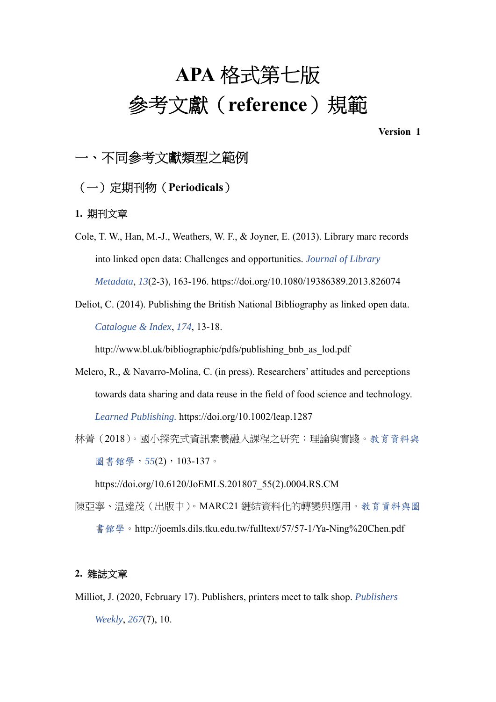# **APA** 格式第七版 參考文獻(**reference**)規範

**Version 1** 

# 一、不同參考文獻類型之範例

### (一)定期刊物(**Periodicals**)

#### **1.** 期刊文章

- Cole, T. W., Han, M.-J., Weathers, W. F., & Joyner, E. (2013). Library marc records into linked open data: Challenges and opportunities. *Journal of Library Metadata*, *13*(2-3), 163-196. https://doi.org/10.1080/19386389.2013.826074
- Deliot, C. (2014). Publishing the British National Bibliography as linked open data. *Catalogue & Index*, *174*, 13-18.

http://www.bl.uk/bibliographic/pdfs/publishing bnb as lod.pdf

- Melero, R., & Navarro‐Molina, C. (in press). Researchers' attitudes and perceptions towards data sharing and data reuse in the field of food science and technology. *Learned Publishing.* https://doi.org/10.1002/leap.1287
- 林菁(2018)。國小探究式資訊素養融入課程之研究:理論與實踐。教育資料與 圖書館學,*55*(2),103-137。

https://doi.org/10.6120/JoEMLS.201807\_55(2).0004.RS.CM

陳亞寧、温達茂(出版中)。MARC21 鏈結資料化的轉變與應用。教育資料與圖 書館學。http://joemls.dils.tku.edu.tw/fulltext/57/57-1/Ya-Ning%20Chen.pdf

#### **2.** 雜誌文章

Milliot, J. (2020, February 17). Publishers, printers meet to talk shop. *Publishers Weekly*, *267*(7), 10.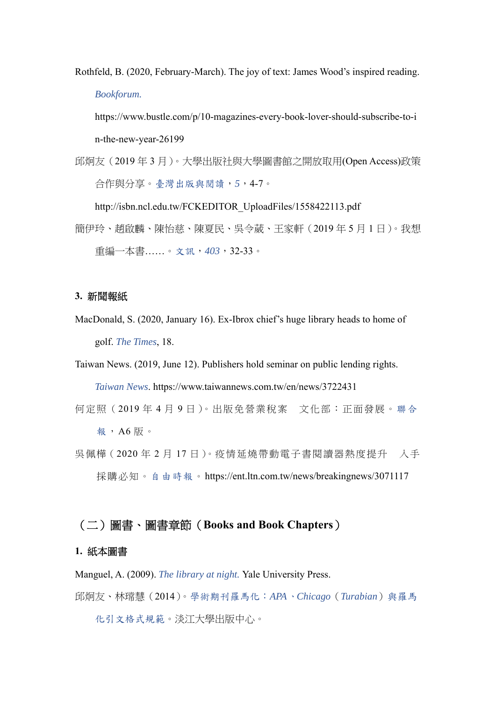Rothfeld, B. (2020, February-March). The joy of text: James Wood's inspired reading. *Bookforum.* 

https://www.bustle.com/p/10-magazines-every-book-lover-should-subscribe-to-i n-the-new-year-26199

邱炯友(2019 年 3 月)。大學出版社與大學圖書館之開放取用(Open Access)政策 合作與分享。臺灣出版與閱讀,*5*,4-7。

http://isbn.ncl.edu.tw/FCKEDITOR\_UploadFiles/1558422113.pdf

簡伊玲、趙啟麟、陳怡慈、陳夏民、吳令葳、王家軒(2019 年 5 月 1 日)。我想 重編一本書……。文訊,*403*,32-33。

#### **3.** 新聞報紙

MacDonald, S. (2020, January 16). Ex-Ibrox chief's huge library heads to home of golf. *The Times*, 18.

Taiwan News. (2019, June 12). Publishers hold seminar on public lending rights. *Taiwan News*. https://www.taiwannews.com.tw/en/news/3722431

- 何定照(2019 年 4 月 9 日)。出版免營業稅案 文化部:正面發展。聯合 報,A6 版。
- 吳佩樺(2020年2月17日)。疫情延燒帶動電子書閱讀器熱度提升 入手 採購必知。自由時報。https://ent.ltn.com.tw/news/breakingnews/3071117

# (二)圖書、圖書章節(**Books and Book Chapters**)

#### **1.** 紙本圖書

Manguel, A. (2009). *The library at night.* Yale University Press.

邱炯友、林瑺慧(2014)。學術期刊羅馬化:*APA*、*Chicago*(*Turabian*)與羅馬

化引文格式規範。淡江大學出版中心。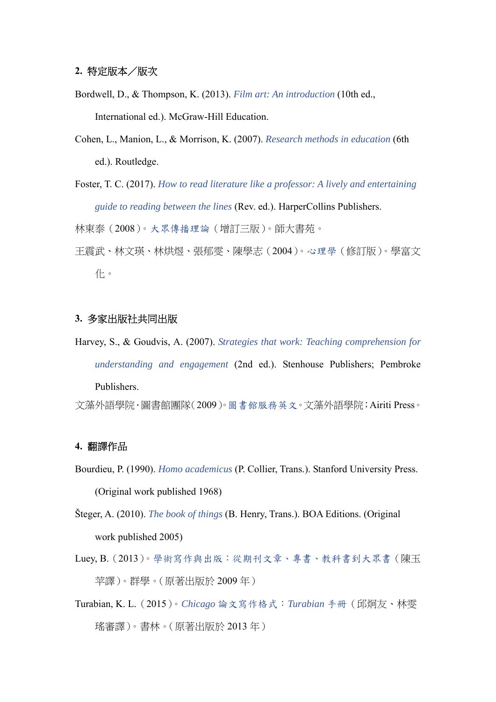- Bordwell, D., & Thompson, K. (2013). *Film art: An introduction* (10th ed., International ed.). McGraw-Hill Education.
- Cohen, L., Manion, L., & Morrison, K. (2007). *Research methods in education* (6th ed.). Routledge.
- Foster, T. C. (2017). *How to read literature like a professor: A lively and entertaining guide to reading between the lines* (Rev. ed.). HarperCollins Publishers.

林東泰(2008)。大眾傳播理論(增訂三版)。師大書苑。

王震武、林文瑛、林烘煜、張郁雯、陳學志(2004)。心理學(修訂版)。學富文 化。

#### **3.** 多家出版社共同出版

Harvey, S., & Goudvis, A. (2007). *Strategies that work: Teaching comprehension for understanding and engagement* (2nd ed.). Stenhouse Publishers; Pembroke Publishers. 文藻外語學院.圖書館團隊(2009)。圖書館服務英文。文藻外語學院;Airiti Press。

#### **4.** 翻譯作品

- Bourdieu, P. (1990). *Homo academicus* (P. Collier, Trans.). Stanford University Press. (Original work published 1968)
- Šteger, A. (2010). *The book of things* (B. Henry, Trans.). BOA Editions. (Original work published 2005)
- Luey, B.(2013)。學術寫作與出版:從期刊文章、專書、教科書到大眾書(陳玉 苹譯)。群學。(原著出版於 2009 年)
- Turabian, K. L.(2015)。*Chicago* 論文寫作格式:*Turabian* 手冊(邱炯友、林雯 瑤審譯)。書林。(原著出版於 2013 年)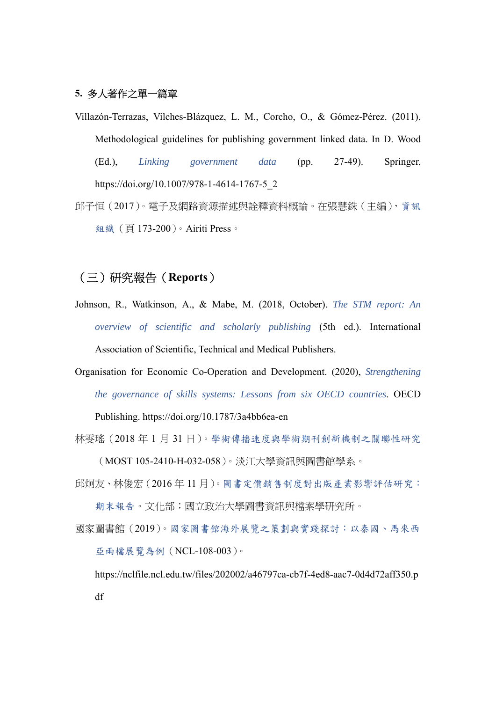#### **5.** 多人著作之單一篇章

Villazón-Terrazas, Vilches-Blázquez, L. M., Corcho, O., & Gómez-Pérez. (2011). Methodological guidelines for publishing government linked data. In D. Wood (Ed.), *Linking government data* (pp. 27-49). Springer. https://doi.org/10.1007/978-1-4614-1767-5\_2 邱子恒(2017)。電子及網路資源描述與詮釋資料概論。在張慧銖(主編),資訊

組織(頁 173-200)。Airiti Press。

## (三)研究報告(**Reports**)

- Johnson, R., Watkinson, A., & Mabe, M. (2018, October). *The STM report: An overview of scientific and scholarly publishing* (5th ed.). International Association of Scientific, Technical and Medical Publishers.
- Organisation for Economic Co-Operation and Development. (2020), *Strengthening the governance of skills systems: Lessons from six OECD countries*. OECD Publishing. https://doi.org/10.1787/3a4bb6ea-en

林雯瑤(2018 年 1 月 31 日)。學術傳播速度與學術期刊創新機制之關聯性研究

(MOST 105-2410-H-032-058)。淡江大學資訊與圖書館學系。

邱炯友、林俊宏(2016 年 11 月)。圖書定價銷售制度對出版產業影響評估研究:

期末報告。文化部;國立政治大學圖書資訊與檔案學研究所。

國家圖書館(2019)。國家圖書館海外展覽之策劃與實踐探討:以泰國、馬來西 亞兩檔展覽為例(NCL-108-003)。

https://nclfile.ncl.edu.tw/files/202002/a46797ca-cb7f-4ed8-aac7-0d4d72aff350.p df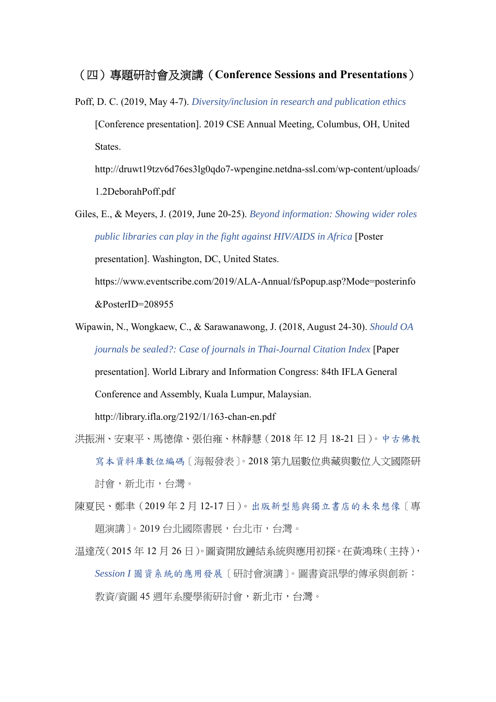#### (四)專題研討會及演講(**Conference Sessions and Presentations**)

Poff, D. C. (2019, May 4-7). *Diversity/inclusion in research and publication ethics* [Conference presentation]. 2019 CSE Annual Meeting, Columbus, OH, United States.

http://druwt19tzv6d76es3lg0qdo7-wpengine.netdna-ssl.com/wp-content/uploads/ 1.2DeborahPoff.pdf

Giles, E., & Meyers, J. (2019, June 20-25). *Beyond information: Showing wider roles public libraries can play in the fight against HIV/AIDS in Africa* [Poster

presentation]. Washington, DC, United States.

https://www.eventscribe.com/2019/ALA-Annual/fsPopup.asp?Mode=posterinfo &PosterID=208955

Wipawin, N., Wongkaew, C., & Sarawanawong, J. (2018, August 24-30). *Should OA journals be sealed?: Case of journals in Thai-Journal Citation Index* [Paper presentation]. World Library and Information Congress: 84th IFLA General

Conference and Assembly, Kuala Lumpur, Malaysian.

http://library.ifla.org/2192/1/163-chan-en.pdf

- 洪振洲、安東平、馬德偉、張伯雍、林靜慧(2018 年 12 月 18-21 日)。中古佛教 寫本資料庫數位編碼〔海報發表〕。2018 第九屆數位典藏與數位人文國際研 討會,新北市,台灣。
- 陳夏民、鄭聿(2019 年 2 月 12-17 日)。出版新型態與獨立書店的未來想像〔專 題演講〕。2019 台北國際書展,台北市,台灣。
- 温達茂(2015 年 12 月 26 日)。圖資開放鏈結系統與應用初探。在黃鴻珠(主持), *Session I* 圖資系統的應用發展〔研討會演講〕。圖書資訊學的傳承與創新: 教資/資圖 45 週年系慶學術研討會,新北市,台灣。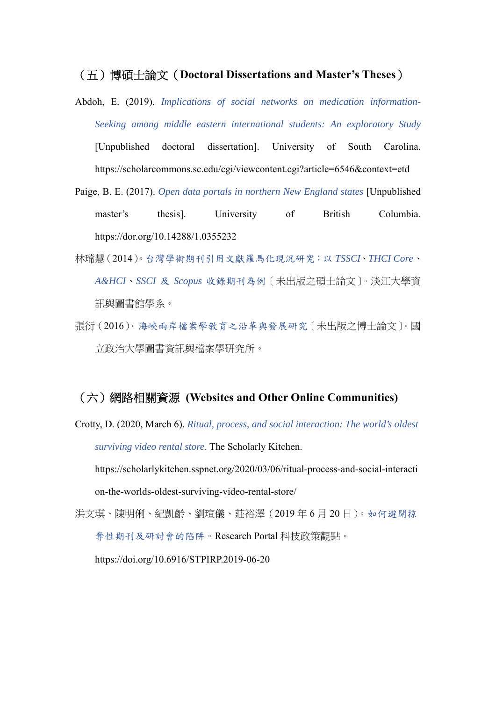#### (五)博碩士論文(**Doctoral Dissertations and Master's Theses**)

- Abdoh, E. (2019). *Implications of social networks on medication information-Seeking among middle eastern international students: An exploratory Study*  [Unpublished doctoral dissertation]. University of South Carolina. https://scholarcommons.sc.edu/cgi/viewcontent.cgi?article=6546&context=etd
- Paige, B. E. (2017). *Open data portals in northern New England states* [Unpublished master's thesis]. University of British Columbia. https://dor.org/10.14288/1.0355232
- 林瑺慧(2014)。台灣學術期刊引用文獻羅馬化現況研究:以 *TSSCI*、*THCI Core*、 *A&HCI*、*SSCI* 及 *Scopus* 收錄期刊為例〔未出版之碩士論文〕。淡江大學資 訊與圖書館學系。
- 張衍(2016)。海峽兩岸檔案學教育之沿革與發展研究〔未出版之博士論文〕。國 立政治大學圖書資訊與檔案學研究所。

#### (六)網路相關資源 **(Websites and Other Online Communities)**

Crotty, D. (2020, March 6). *Ritual, process, and social interaction: The world's oldest surviving video rental store.* The Scholarly Kitchen.

https://scholarlykitchen.sspnet.org/2020/03/06/ritual-process-and-social-interacti on-the-worlds-oldest-surviving-video-rental-store/

洪文琪、陳明俐、紀凱齡、劉瑄儀、莊裕澤(2019 年 6 月 20 日)。如何避開掠 奪性期刊及研討會的陷阱。Research Portal 科技政策觀點。

https://doi.org/10.6916/STPIRP.2019-06-20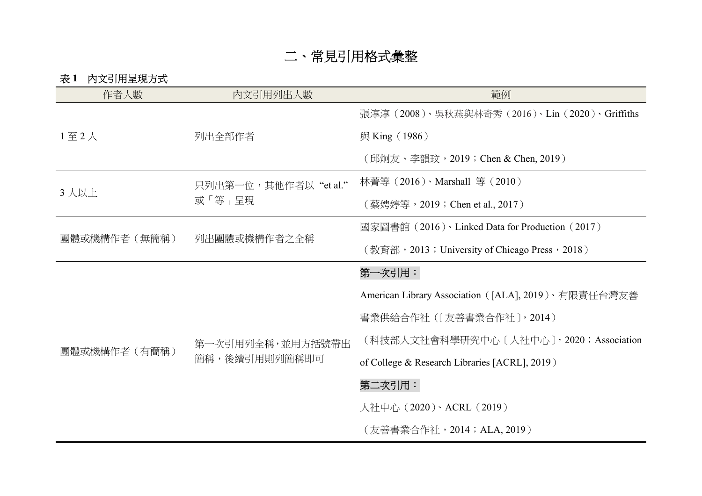# 二、常見引用格式彙整

表 **1** 內文引用呈現方式

| 作者人數               | 内文引用列出人數                          | 範例                                                  |
|--------------------|-----------------------------------|-----------------------------------------------------|
| $1 \nsubseteq 2$ 人 | 列出全部作者                            | 張淳淳 (2008)、吳秋燕與林奇秀 (2016)、Lin (2020)、Griffiths      |
|                    |                                   | 與 King (1986)                                       |
|                    |                                   | (邱炯友、李韻玟,2019; Chen & Chen, 2019)                   |
| 3人以上               | 只列出第一位,其他作者以"et al."<br>或「等」呈現    | 林菁等 (2016)、Marshall 等 (2010)                        |
|                    |                                   | (蔡娉婷等,2019;Chen et al., 2017)                       |
| 團體或機構作者(無簡稱)       | 列出團體或機構作者之全稱                      | 國家圖書館 (2016) · Linked Data for Production (2017)    |
|                    |                                   | (教育部, 2013; University of Chicago Press, 2018)      |
| 團體或機構作者(有簡稱)       | 第一次引用列全稱,並用方括號帶出<br>簡稱,後續引用則列簡稱即可 | 第一次引用:                                              |
|                    |                                   | American Library Association ([ALA], 2019)、有限責任台灣友善 |
|                    |                                   | 書業供給合作社 (〔友善書業合作社〕, 2014)                           |
|                    |                                   | (科技部人文社會科學研究中心〔人社中心〕, 2020; Association             |
|                    |                                   | of College & Research Libraries [ACRL], 2019)       |
|                    |                                   | 第二次引用:                                              |
|                    |                                   | 人社中心 (2020)、ACRL (2019)                             |
|                    |                                   | (友善書業合作社,2014;ALA, 2019)                            |